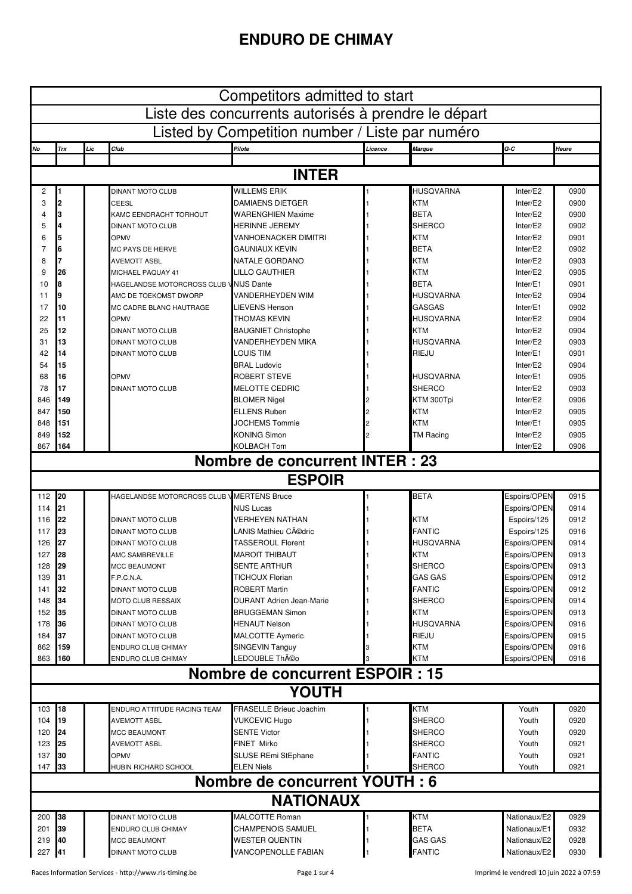## **ENDURO DE CHIMAY**

| Competitors admitted to start                       |            |     |                                            |                                                 |         |                           |                              |              |
|-----------------------------------------------------|------------|-----|--------------------------------------------|-------------------------------------------------|---------|---------------------------|------------------------------|--------------|
| Liste des concurrents autorisés à prendre le départ |            |     |                                            |                                                 |         |                           |                              |              |
| Listed by Competition number / Liste par numéro     |            |     |                                            |                                                 |         |                           |                              |              |
| No                                                  | Trx        | Lic | Club                                       | Pilote                                          | Licence | Marque                    | $G-C$                        | Heure        |
|                                                     |            |     |                                            |                                                 |         |                           |                              |              |
|                                                     |            |     |                                            | <b>INTER</b>                                    |         |                           |                              |              |
| 2                                                   | 1          |     | DINANT MOTO CLUB                           | <b>WILLEMS ERIK</b>                             |         | <b>HUSQVARNA</b>          | Inter/E2                     | 0900         |
| 3                                                   | 2          |     | CEESL                                      | DAMIAENS DIETGER                                |         | <b>KTM</b>                | Inter/E2                     | 0900         |
| 4                                                   | 3          |     | KAMC EENDRACHT TORHOUT                     | <b>WARENGHIEN Maxime</b>                        |         | <b>BETA</b>               | Inter/E2                     | 0900         |
| 5                                                   | 4          |     | <b>DINANT MOTO CLUB</b>                    | <b>HERINNE JEREMY</b><br>VANHOENACKER DIMITRI   |         | <b>SHERCO</b>             | Inter/E2<br>Inter/E2         | 0902         |
| 6<br>7                                              | 5<br>6     |     | OPMV<br>MC PAYS DE HERVE                   | GAUNIAUX KEVIN                                  |         | <b>KTM</b><br><b>BETA</b> | Inter/E2                     | 0901<br>0902 |
| 8                                                   | 7          |     | <b>AVEMOTT ASBL</b>                        | NATALE GORDANO                                  |         | <b>KTM</b>                | Inter/E2                     | 0903         |
| 9                                                   | 26         |     | MICHAEL PAQUAY 41                          | LILLO GAUTHIER                                  |         | <b>KTM</b>                | Inter/E2                     | 0905         |
| 10                                                  | 8          |     | HAGELANDSE MOTORCROSS CLUB V NIJS Dante    |                                                 |         | <b>BETA</b>               | Inter/E1                     | 0901         |
| 11                                                  | 9          |     | AMC DE TOEKOMST DWORP                      | <b>VANDERHEYDEN WIM</b>                         |         | <b>HUSQVARNA</b>          | Inter/E2                     | 0904         |
| 17                                                  | 10         |     | MC CADRE BLANC HAUTRAGE                    | LIEVENS Henson                                  |         | <b>GASGAS</b>             | Inter/E1                     | 0902         |
| 22                                                  | 11         |     | OPMV                                       | THOMAS KEVIN                                    |         | <b>HUSQVARNA</b>          | Inter/E2                     | 0904         |
| 25                                                  | 12         |     | <b>DINANT MOTO CLUB</b>                    | <b>BAUGNIET Christophe</b>                      |         | <b>KTM</b>                | Inter/E2                     | 0904         |
| 31                                                  | 13         |     | <b>DINANT MOTO CLUB</b>                    | VANDERHEYDEN MIKA                               |         | <b>HUSQVARNA</b>          | Inter/E2                     | 0903         |
| 42                                                  | 14         |     | <b>DINANT MOTO CLUB</b>                    | <b>LOUIS TIM</b>                                |         | RIEJU                     | Inter/E1                     | 0901         |
| 54                                                  | 15         |     |                                            | <b>BRAL Ludovic</b>                             |         |                           | Inter/E2                     | 0904         |
| 68                                                  | 16         |     | OPMV                                       | ROBERT STEVE                                    |         | <b>HUSQVARNA</b>          | Inter/E1                     | 0905         |
| 78                                                  | 17         |     | <b>DINANT MOTO CLUB</b>                    | <b>MELOTTE CEDRIC</b>                           |         | <b>SHERCO</b>             | Inter/E2                     | 0903         |
| 846                                                 | 149        |     |                                            | <b>BLOMER Nigel</b>                             |         | KTM 300Tpi                | Inter/E2                     | 0906         |
| 847<br>848                                          | 150<br>151 |     |                                            | <b>ELLENS Ruben</b><br><b>JOCHEMS Tommie</b>    |         | <b>KTM</b><br><b>KTM</b>  | Inter/E2<br>Inter/E1         | 0905<br>0905 |
| 849                                                 | 152        |     |                                            | <b>KONING Simon</b>                             |         | TM Racing                 | Inter/E2                     | 0905         |
| 867                                                 | 164        |     |                                            | <b>KOLBACH Tom</b>                              |         |                           | Inter/E2                     | 0906         |
|                                                     |            |     |                                            | Nombre de concurrent INTER : 23                 |         |                           |                              |              |
|                                                     |            |     |                                            | <b>ESPOIR</b>                                   |         |                           |                              |              |
| 112                                                 | 20         |     | HAGELANDSE MOTORCROSS CLUB V MERTENS Bruce |                                                 |         | <b>BETA</b>               | Espoirs/OPEN                 | 0915         |
| 114                                                 | 21         |     |                                            | <b>NIJS Lucas</b>                               |         |                           | Espoirs/OPEN                 | 0914         |
| 116                                                 | 22         |     | <b>DINANT MOTO CLUB</b>                    | VERHEYEN NATHAN                                 |         | KTM                       | Espoirs/125                  | 0912         |
| 117                                                 | 23         |     | <b>DINANT MOTO CLUB</b>                    | LANIS Mathieu Cédric                            |         | <b>FANTIC</b>             | Espoirs/125                  | 0916         |
| 126                                                 | 27         |     | DINANT MOTO CLUB                           | <b>TASSEROUL Florent</b>                        |         | <b>HUSQVARNA</b>          | Espoirs/OPEN                 | 0914         |
| 127                                                 | <b>28</b>  |     | AMC SAMBREVILLE                            | <b>MAROIT THIBAUT</b>                           |         | <b>KTM</b>                | Espoirs/OPEN                 | 0913         |
| 128                                                 | <b>29</b>  |     | <b>MCC BEAUMONT</b>                        | <b>SENTE ARTHUR</b>                             |         | <b>SHERCO</b>             | Espoirs/OPEN                 | 0913         |
| 139                                                 | 31         |     | F.P.C.N.A.                                 | <b>TICHOUX Florian</b>                          |         | <b>GAS GAS</b>            | Espoirs/OPEN                 | 0912         |
| 141                                                 | 32         |     | <b>DINANT MOTO CLUB</b>                    | <b>ROBERT Martin</b>                            |         | <b>FANTIC</b>             | Espoirs/OPEN                 | 0912         |
| 148                                                 | 34         |     | <b>MOTO CLUB RESSAIX</b>                   | <b>DURANT Adrien Jean-Marie</b>                 |         | <b>SHERCO</b>             | Espoirs/OPEN                 | 0914         |
| 152                                                 | 35         |     | <b>DINANT MOTO CLUB</b>                    | <b>BRUGGEMAN Simon</b>                          |         | KTM                       | Espoirs/OPEN                 | 0913         |
| 178<br>184                                          | 36<br>37   |     | DINANT MOTO CLUB<br>DINANT MOTO CLUB       | <b>HENAUT Nelson</b><br><b>MALCOTTE Aymeric</b> |         | <b>HUSQVARNA</b><br>RIEJU | Espoirs/OPEN<br>Espoirs/OPEN | 0916<br>0915 |
| 862                                                 | 159        |     | ENDURO CLUB CHIMAY                         | <b>SINGEVIN Tanguy</b>                          |         | KTM                       | Espoirs/OPEN                 | 0916         |
| 863                                                 | 160        |     | ENDURO CLUB CHIMAY                         | LEDOUBLE Théo                                   |         | KTM                       | Espoirs/OPEN                 | 0916         |
|                                                     |            |     |                                            | Nombre de concurrent ESPOIR : 15                |         |                           |                              |              |
| <b>YOUTH</b>                                        |            |     |                                            |                                                 |         |                           |                              |              |
| 103                                                 | 18         |     | ENDURO ATTITUDE RACING TEAM                | <b>FRASELLE Brieuc Joachim</b>                  |         | <b>KTM</b>                | Youth                        | 0920         |
| 104                                                 | 19         |     | <b>AVEMOTT ASBL</b>                        | <b>VUKCEVIC Hugo</b>                            |         | <b>SHERCO</b>             | Youth                        | 0920         |
| 120                                                 | 24         |     | <b>MCC BEAUMONT</b>                        | <b>SENTE Victor</b>                             |         | <b>SHERCO</b>             | Youth                        | 0920         |
| 123                                                 | 25         |     | <b>AVEMOTT ASBL</b>                        | FINET Mirko                                     |         | <b>SHERCO</b>             | Youth                        | 0921         |
| 137                                                 | 30         |     | <b>OPMV</b>                                | <b>SLUSE REmi StEphane</b>                      |         | <b>FANTIC</b>             | Youth                        | 0921         |
| 147                                                 | 33         |     | HUBIN RICHARD SCHOOL                       | <b>ELEN Niels</b>                               |         | SHERCO                    | Youth                        | 0921         |
|                                                     |            |     |                                            | <b>Nombre de concurrent YOUTH: 6</b>            |         |                           |                              |              |
| <b>NATIONAUX</b>                                    |            |     |                                            |                                                 |         |                           |                              |              |
| 200                                                 | 38         |     | DINANT MOTO CLUB                           | <b>MALCOTTE Roman</b>                           |         | <b>KTM</b>                | Nationaux/E2                 | 0929         |
| 201                                                 | 39         |     | ENDURO CLUB CHIMAY                         | CHAMPENOIS SAMUEL                               |         | <b>BETA</b>               | Nationaux/E1                 | 0932         |
| 219                                                 | 40         |     | <b>MCC BEAUMONT</b>                        | <b>WESTER QUENTIN</b>                           |         | <b>GAS GAS</b>            | Nationaux/E2                 | 0928         |
| 227                                                 | <b>141</b> |     | DINANT MOTO CLUB                           | VANCOPENOLLE FABIAN                             |         | <b>FANTIC</b>             | Nationaux/E2                 | 0930         |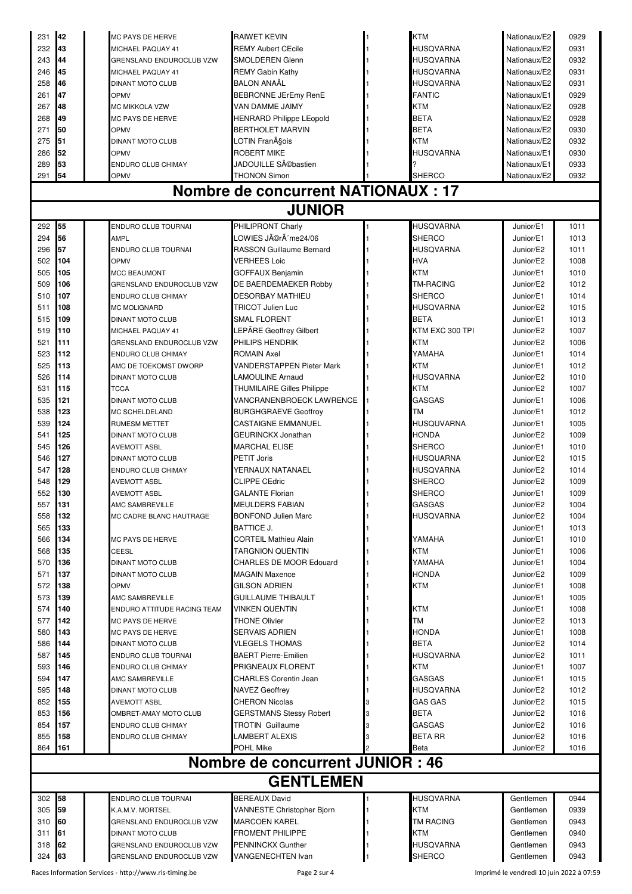| 231                                     | 142          |  | <b>MC PAYS DE HERVE</b>     | <b>RAIWET KEVIN</b>                        |  | <b>KTM</b>        | Nationaux/E2 | 0929 |
|-----------------------------------------|--------------|--|-----------------------------|--------------------------------------------|--|-------------------|--------------|------|
| 232                                     | 43           |  | MICHAEL PAQUAY 41           | <b>REMY Aubert CEcile</b>                  |  | <b>HUSOVARNA</b>  | Nationaux/E2 | 0931 |
| 243                                     | 44           |  | GRENSLAND ENDUROCLUB VZW    | <b>SMOLDEREN Glenn</b>                     |  | <b>HUSQVARNA</b>  | Nationaux/E2 | 0932 |
| 246                                     | 45           |  | MICHAEL PAQUAY 41           | <b>REMY Gabin Kathy</b>                    |  | <b>HUSQVARNA</b>  | Nationaux/E2 | 0931 |
| 258                                     | 46           |  | <b>DINANT MOTO CLUB</b>     | <b>BALON ANAAL</b>                         |  | <b>HUSQVARNA</b>  | Nationaux/E2 | 0931 |
| 261                                     | 47           |  | OPMV                        | <b>BEBRONNE JErEmy RenE</b>                |  | <b>FANTIC</b>     | Nationaux/E1 | 0929 |
| 267                                     | 48           |  | MC MIKKOLA VZW              | VAN DAMME JAIMY                            |  | <b>KTM</b>        | Nationaux/E2 | 0928 |
| 268                                     | 49           |  | MC PAYS DE HERVE            | <b>HENRARD Philippe LEopold</b>            |  | <b>BETA</b>       | Nationaux/E2 | 0928 |
| 271                                     | 50           |  | OPMV                        | <b>BERTHOLET MARVIN</b>                    |  | <b>BETA</b>       | Nationaux/E2 | 0930 |
| 275                                     | 51           |  | <b>DINANT MOTO CLUB</b>     | LOTIN François                             |  | <b>KTM</b>        | Nationaux/E2 | 0932 |
| 286                                     | 52           |  | OPMV                        | <b>ROBERT MIKE</b>                         |  | <b>HUSQVARNA</b>  | Nationaux/E1 | 0930 |
| 289                                     | 53           |  | ENDURO CLUB CHIMAY          | JADOUILLE Sébastien                        |  |                   | Nationaux/E1 | 0933 |
| 291                                     | 54           |  | OPMV                        | <b>THONON Simon</b>                        |  | <b>SHERCO</b>     | Nationaux/E2 | 0932 |
|                                         |              |  |                             | <b>Nombre de concurrent NATIONAUX : 17</b> |  |                   |              |      |
|                                         |              |  |                             | <b>JUNIOR</b>                              |  |                   |              |      |
| 292                                     | 55           |  | ENDURO CLUB TOURNAI         | PHILIPRONT Charly                          |  | <b>HUSQVARNA</b>  | Junior/E1    | 1011 |
| 294                                     | 56           |  | AMPL                        | .OWIES Jérôme24/06                         |  | <b>SHERCO</b>     | Junior/E1    | 1013 |
| 296                                     | 57           |  | ENDURO CLUB TOURNAI         | RASSON Guillaume Bernard                   |  | <b>HUSQVARNA</b>  | Junior/E2    | 1011 |
| 502                                     | 104          |  | OPMV                        | <b>VERHEES Loic</b>                        |  | <b>HVA</b>        | Junior/E2    | 1008 |
| 505                                     | 105          |  | <b>MCC BEAUMONT</b>         | <b>GOFFAUX Benjamin</b>                    |  | <b>KTM</b>        | Junior/E1    | 1010 |
| 509                                     | 106          |  | GRENSLAND ENDUROCLUB VZW    | DE BAERDEMAEKER Robby                      |  | <b>TM-RACING</b>  | Junior/E2    | 1012 |
| 510                                     | 107          |  | ENDURO CLUB CHIMAY          | <b>DESORBAY MATHIEU</b>                    |  | <b>SHERCO</b>     | Junior/E1    | 1014 |
| 511                                     | 108          |  | MC MOLIGNARD                | <b>TRICOT Julien Luc</b>                   |  | <b>HUSQVARNA</b>  | Junior/E2    | 1015 |
| 515                                     | 109          |  | <b>DINANT MOTO CLUB</b>     | <b>SMAL FLORENT</b>                        |  | <b>BETA</b>       | Junior/E1    | 1013 |
| 519                                     | 110          |  | MICHAEL PAQUAY 41           | LEPÃRE Geoffrey Gilbert                    |  | KTM EXC 300 TPI   | Junior/E2    | 1007 |
| 521                                     | 111          |  | GRENSLAND ENDUROCLUB VZW    | PHILIPS HENDRIK                            |  | <b>KTM</b>        | Junior/E2    | 1006 |
| 523                                     | 112          |  | ENDURO CLUB CHIMAY          | <b>ROMAIN Axel</b>                         |  | YAMAHA            | Junior/E1    | 1014 |
| 525                                     | 113          |  | AMC DE TOEKOMST DWORP       | VANDERSTAPPEN Pieter Mark                  |  | <b>KTM</b>        | Junior/E1    | 1012 |
| 526                                     | 114          |  | <b>DINANT MOTO CLUB</b>     | <b>LAMOULINE Arnaud</b>                    |  | HUSQVARNA         | Junior/E2    | 1010 |
| 531                                     | 115          |  | <b>TCCA</b>                 | <b>THUMILAIRE Gilles Philippe</b>          |  | <b>KTM</b>        | Junior/E2    | 1007 |
| 535                                     | 121          |  | <b>DINANT MOTO CLUB</b>     | VANCRANENBROECK LAWRENCE                   |  | <b>GASGAS</b>     | Junior/E1    | 1006 |
| 538                                     | 123          |  | MC SCHELDELAND              | <b>BURGHGRAEVE Geoffroy</b>                |  | <b>TM</b>         | Junior/E1    | 1012 |
| 539                                     | 124          |  | <b>RUMESM METTET</b>        | <b>CASTAIGNE EMMANUEL</b>                  |  | <b>HUSQUVARNA</b> | Junior/E1    | 1005 |
| 541                                     | 125          |  | <b>DINANT MOTO CLUB</b>     | <b>GEURINCKX Jonathan</b>                  |  | <b>HONDA</b>      | Junior/E2    | 1009 |
| 545                                     | 126          |  | AVEMOTT ASBL                | <b>MARCHAL ELISE</b>                       |  | <b>SHERCO</b>     | Junior/E1    | 1010 |
| 546                                     | 127          |  | <b>DINANT MOTO CLUB</b>     | PETIT Joris                                |  | <b>HUSQUARNA</b>  | Junior/E2    | 1015 |
| 547                                     | 128          |  | <b>ENDURO CLUB CHIMAY</b>   | YERNAUX NATANAEL                           |  | <b>HUSQVARNA</b>  | Junior/E2    | 1014 |
| 548                                     | 129          |  | <b>AVEMOTT ASBL</b>         | <b>CLIPPE CEdric</b>                       |  | <b>SHERCO</b>     | Junior/E2    | 1009 |
| 552                                     | 130          |  | <b>AVEMOTT ASBL</b>         | <b>GALANTE Florian</b>                     |  | <b>SHERCO</b>     | Junior/E1    | 1009 |
| 557                                     | <b>1</b> 131 |  | AMC SAMBREVILLE             | <b>MEULDERS FABIAN</b>                     |  | <b>GASGAS</b>     | Junior/E2    | 1004 |
| 558                                     | 132          |  | MC CADRE BLANC HAUTRAGE     | <b>BONFOND Julien Marc</b>                 |  | <b>HUSQVARNA</b>  | Junior/E2    | 1004 |
| 565                                     | 133          |  |                             | <b>BATTICE J.</b>                          |  |                   | Junior/E1    | 1013 |
| 566                                     | 134          |  | <b>MC PAYS DE HERVE</b>     | <b>CORTEIL Mathieu Alain</b>               |  | YAMAHA            | Junior/E1    | 1010 |
| 568                                     | 135          |  | CEESL                       | <b>TARGNION QUENTIN</b>                    |  | <b>KTM</b>        | Junior/E1    | 1006 |
| 570                                     | 136          |  | <b>DINANT MOTO CLUB</b>     | <b>CHARLES DE MOOR Edouard</b>             |  | YAMAHA            | Junior/E1    | 1004 |
| 571                                     | 137          |  | <b>DINANT MOTO CLUB</b>     | <b>MAGAIN Maxence</b>                      |  | HONDA             | Junior/E2    | 1009 |
| 572                                     | 138          |  | <b>OPMV</b>                 | <b>GILSON ADRIEN</b>                       |  | <b>KTM</b>        | Junior/E1    | 1008 |
| 573                                     | 139          |  | AMC SAMBREVILLE             | <b>GUILLAUME THIBAULT</b>                  |  |                   | Junior/E1    | 1005 |
| 574                                     | 140          |  | ENDURO ATTITUDE RACING TEAM | <b>VINKEN QUENTIN</b>                      |  | <b>KTM</b>        | Junior/E1    | 1008 |
| 577                                     | 142          |  | MC PAYS DE HERVE            | <b>THONE Olivier</b>                       |  | <b>TM</b>         | Junior/E2    | 1013 |
| 580                                     | 143          |  | <b>MC PAYS DE HERVE</b>     | SERVAIS ADRIEN                             |  | <b>HONDA</b>      | Junior/E1    | 1008 |
| 586                                     | 144          |  | <b>DINANT MOTO CLUB</b>     | VLEGELS THOMAS                             |  | <b>BETA</b>       | Junior/E2    | 1014 |
| 587                                     | 145          |  | ENDURO CLUB TOURNAI         | <b>BAERT Pierre-Emilien</b>                |  | <b>HUSQVARNA</b>  | Junior/E2    | 1011 |
| 593                                     | 146          |  | ENDURO CLUB CHIMAY          | <b>PRIGNEAUX FLORENT</b>                   |  | <b>KTM</b>        | Junior/E1    | 1007 |
| 594                                     | 147          |  | AMC SAMBREVILLE             | <b>CHARLES Corentin Jean</b>               |  | <b>GASGAS</b>     | Junior/E1    | 1015 |
| 595                                     | 148          |  | <b>DINANT MOTO CLUB</b>     | <b>NAVEZ Geoffrey</b>                      |  | <b>HUSQVARNA</b>  | Junior/E2    | 1012 |
| 852                                     | 155          |  | AVEMOTT ASBL                | <b>CHERON Nicolas</b>                      |  | GAS GAS           | Junior/E2    | 1015 |
| 853                                     | 156          |  | OMBRET-AMAY MOTO CLUB       | <b>GERSTMANS Stessy Robert</b>             |  | <b>BETA</b>       | Junior/E2    | 1016 |
| 854                                     | 157          |  | ENDURO CLUB CHIMAY          | <b>TROTIN Guillaume</b>                    |  | <b>GASGAS</b>     | Junior/E2    | 1016 |
| 855                                     | 158          |  | ENDURO CLUB CHIMAY          | LAMBERT ALEXIS                             |  | <b>BETA RR</b>    | Junior/E2    | 1016 |
| 864                                     | 161          |  |                             | POHL Mike                                  |  | Beta              | Junior/E2    | 1016 |
| <b>Nombre de concurrent JUNIOR : 46</b> |              |  |                             |                                            |  |                   |              |      |
| <b>GENTLEMEN</b>                        |              |  |                             |                                            |  |                   |              |      |
| 302                                     | 158          |  | ENDURO CLUB TOURNAI         | <b>BEREAUX David</b>                       |  | <b>HUSQVARNA</b>  | Gentlemen    | 0944 |
| 305                                     | 59           |  | K.A.M.V. MORTSEL            | VANNESTE Christopher Bjorn                 |  | <b>KTM</b>        | Gentlemen    | 0939 |
| 310 60                                  |              |  | GRENSLAND ENDUROCLUB VZW    | <b>MARCOEN KAREL</b>                       |  | <b>TM RACING</b>  | Gentlemen    | 0943 |
| 311                                     | 61           |  | DINANT MOTO CLUB            | <b>FROMENT PHILIPPE</b>                    |  | <b>KTM</b>        | Gentlemen    | 0940 |
| 318                                     | 62           |  | GRENSLAND ENDUROCLUB VZW    | <b>PENNINCKX Gunther</b>                   |  | <b>HUSQVARNA</b>  | Gentlemen    | 0943 |
| 324                                     | 63           |  | GRENSLAND ENDUROCLUB VZW    | VANGENECHTEN Ivan                          |  | <b>SHERCO</b>     | Gentlemen    | 0943 |
|                                         |              |  |                             |                                            |  |                   |              |      |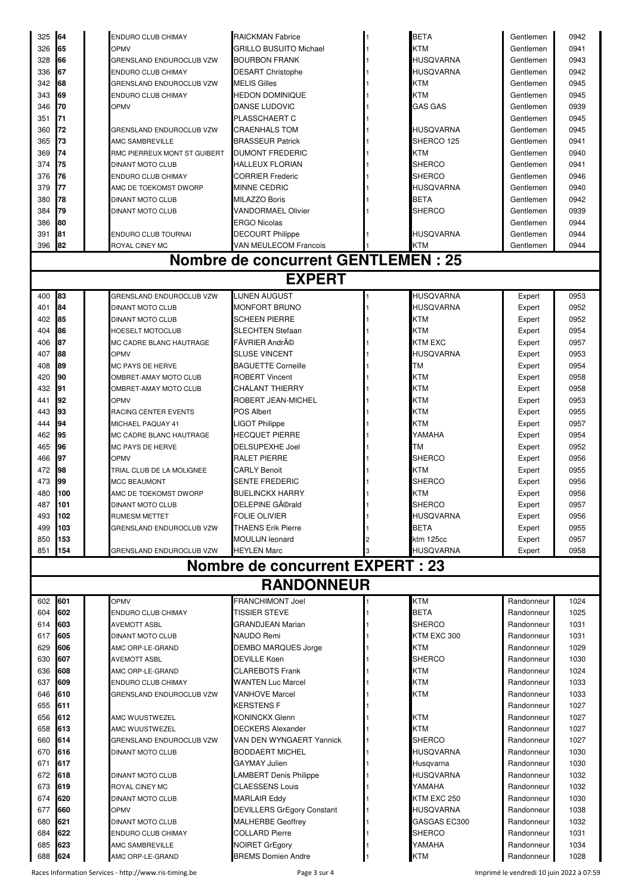| 325        | 64         | ENDURO CLUB CHIMAY                                 | <b>RAICKMAN Fabrice</b>                            | <b>BETA</b>            | Gentlemen                | 0942         |
|------------|------------|----------------------------------------------------|----------------------------------------------------|------------------------|--------------------------|--------------|
| 326        | 65         | OPMV                                               | <b>GRILLO BUSUITO Michael</b>                      | KTM                    | Gentlemen                | 0941         |
| 328        | 66         | <b>GRENSLAND ENDUROCLUB VZW</b>                    | <b>BOURBON FRANK</b>                               | HUSQVARNA              | Gentlemen                | 0943         |
| 336        | 67         | ENDURO CLUB CHIMAY                                 | <b>DESART Christophe</b>                           | HUSQVARNA              | Gentlemen                | 0942         |
| 342        | 68         | GRENSLAND ENDUROCLUB VZW                           | <b>MELIS Gilles</b>                                | KTM                    | Gentlemen                | 0945         |
| 343<br>346 | 69<br>70   | ENDURO CLUB CHIMAY                                 | <b>HEDON DOMINIQUE</b><br>DANSE LUDOVIC            | KTM<br><b>GAS GAS</b>  | Gentlemen                | 0945<br>0939 |
| 351        | 71         | OPMV                                               | PLASSCHAERT C                                      |                        | Gentlemen<br>Gentlemen   | 0945         |
| 360        | 72         | GRENSLAND ENDUROCLUB VZW                           | CRAENHALS TOM                                      | HUSQVARNA              | Gentlemen                | 0945         |
| 365        | 73         | AMC SAMBREVILLE                                    | <b>BRASSEUR Patrick</b>                            | SHERCO 125             | Gentlemen                | 0941         |
| 369        | 74         | RMC PIERREUX MONT ST GUIBERT                       | <b>DUMONT FREDERIC</b>                             | KTM                    | Gentlemen                | 0940         |
| 374        | 75         | <b>DINANT MOTO CLUB</b>                            | HALLEUX FLORIAN                                    | SHERCO                 | Gentlemen                | 0941         |
| 376        | 76         | ENDURO CLUB CHIMAY                                 | <b>CORRIER Frederic</b>                            | SHERCO                 | Gentlemen                | 0946         |
| 379        | 77         | AMC DE TOEKOMST DWORP                              | MINNE CEDRIC                                       | HUSQVARNA              | Gentlemen                | 0940         |
| 380        | 78         | <b>DINANT MOTO CLUB</b>                            | <b>MILAZZO Boris</b>                               | <b>BETA</b>            | Gentlemen                | 0942         |
| 384        | 79         | <b>DINANT MOTO CLUB</b>                            | <b>VANDORMAEL Olivier</b>                          | SHERCO                 | Gentlemen                | 0939         |
| 386        | 80         |                                                    | <b>ERGO Nicolas</b>                                |                        | Gentlemen                | 0944         |
| 391        | 81         | ENDURO CLUB TOURNAI                                | <b>DECOURT Philippe</b>                            | HUSQVARNA              | Gentlemen                | 0944         |
| 396        | 82         | ROYAL CINEY MC                                     | VAN MEULECOM Francois                              | KTM                    | Gentlemen                | 0944         |
|            |            |                                                    | <b>Nombre de concurrent GENTLEMEN : 25</b>         |                        |                          |              |
|            |            |                                                    | <b>EXPERT</b>                                      |                        |                          |              |
| 400        | 83         | <b>GRENSLAND ENDUROCLUB VZW</b>                    | <b>LIJNEN AUGUST</b>                               | <b>HUSQVARNA</b>       | Expert                   | 0953         |
| 401        | 84         | DINANT MOTO CLUB                                   | MONFORT BRUNO                                      | <b>HUSQVARNA</b>       | Expert                   | 0952         |
| 402<br>404 | 85<br>86   | <b>DINANT MOTO CLUB</b><br><b>HOESELT MOTOCLUB</b> | <b>SCHEEN PIERRE</b><br>SLECHTEN Stefaan           | KTM<br>KTM             | Expert<br>Expert         | 0952<br>0954 |
| 406        | 87         | MC CADRE BLANC HAUTRAGE                            | FÃVRIER André                                      | <b>KTM EXC</b>         | Expert                   | 0957         |
| 407        | 88         | OPMV                                               | SLUSE VINCENT                                      | HUSQVARNA              | Expert                   | 0953         |
| 408        | 89         | MC PAYS DE HERVE                                   | <b>BAGUETTE Corneille</b>                          | TМ                     | Expert                   | 0954         |
| 420        | 90         | OMBRET-AMAY MOTO CLUB                              | <b>ROBERT Vincent</b>                              | KTM                    | Expert                   | 0958         |
| 432        | 91         | OMBRET-AMAY MOTO CLUB                              | <b>CHALANT THIERRY</b>                             | KTM                    | Expert                   | 0958         |
| 441        | 92         | OPMV                                               | ROBERT JEAN-MICHEL                                 | KTM                    | Expert                   | 0953         |
| 443        | 93         | RACING CENTER EVENTS                               | <b>POS Albert</b>                                  | <b>KTM</b>             | Expert                   | 0955         |
| 444        | 94         | MICHAEL PAQUAY 41                                  | LIGOT Philippe                                     | KTM                    | Expert                   | 0957         |
| 462        | 95         | MC CADRE BLANC HAUTRAGE                            | HECQUET PIERRE                                     | YAMAHA                 | Expert                   | 0954         |
| 465        | 96         | MC PAYS DE HERVE                                   | <b>DELSUPEXHE Joel</b>                             | ТM                     | Expert                   | 0952         |
| 466        | 97         | OPMV                                               | RALET PIERRE                                       | SHERCO                 | Expert                   | 0956         |
| 472        | 98         | TRIAL CLUB DE LA MOLIGNEE                          | <b>CARLY Benoit</b>                                | KTM                    | Expert                   | 0955         |
| 473<br>480 | 99<br>100  | <b>MCC BEAUMONT</b>                                | SENTE FREDERIC<br><b>BUELINCKX HARRY</b>           | <b>SHERCO</b><br>KTM   | Expert                   | 0956<br>0956 |
| 487        | 101        | AMC DE TOEKOMST DWORP<br>DINANT MOTO CLUB          | DELEPINE Gérald                                    | <b>SHERCO</b>          | Expert<br>Expert         | 0957         |
| 493        | 102        | RUMESM METTET                                      | FOLIE OLIVIER                                      | HUSQVARNA              | Expert                   | 0956         |
| 499        | 103        | GRENSLAND ENDUROCLUB VZW                           | <b>THAENS Erik Pierre</b>                          | <b>BETA</b>            | Expert                   | 0955         |
| 850        | 153        |                                                    | <b>MOULIJN leonard</b>                             | ktm 125cc              | Expert                   | 0957         |
| 851        | 154        | GRENSLAND ENDUROCLUB VZW                           | <b>HEYLEN Marc</b>                                 | HUSQVARNA              | Expert                   | 0958         |
|            |            |                                                    | <b>Nombre de concurrent EXPERT : 23</b>            |                        |                          |              |
|            |            |                                                    | <b>RANDONNEUR</b>                                  |                        |                          |              |
| 602        | 601        | <b>OPMV</b>                                        | FRANCHIMONT Joel                                   | <b>KTM</b>             | Randonneur               | 1024         |
| 604        | 602        | ENDURO CLUB CHIMAY                                 | TISSIER STEVE                                      | <b>BETA</b>            | Randonneur               | 1025         |
| 614        | 603        | <b>AVEMOTT ASBL</b>                                | GRANDJEAN Marian                                   | SHERCO                 | Randonneur               | 1031         |
| 617        | 605        | <b>DINANT MOTO CLUB</b>                            | NAUDO Remi                                         | KTM EXC 300            | Randonneur               | 1031         |
| 629        | 606        | AMC ORP-LE-GRAND                                   | <b>DEMBO MARQUES Jorge</b>                         | KTM                    | Randonneur               | 1029         |
| 630        | 607        | AVEMOTT ASBL                                       | <b>DEVILLE Koen</b>                                | SHERCO                 | Randonneur               | 1030         |
| 636<br>637 | 608<br>609 | AMC ORP-LE-GRAND<br>ENDURO CLUB CHIMAY             | <b>CLAREBOTS Frank</b><br><b>WANTEN Luc Marcel</b> | KTM<br>KTM             | Randonneur<br>Randonneur | 1024<br>1033 |
| 646        | 610        | GRENSLAND ENDUROCLUB VZW                           | <b>VANHOVE Marcel</b>                              | KTM                    | Randonneur               | 1033         |
| 655        | 611        |                                                    | <b>KERSTENS F</b>                                  |                        | Randonneur               | 1027         |
| 656        | 612        | AMC WUUSTWEZEL                                     | <b>KONINCKX Glenn</b>                              | KTM                    | Randonneur               | 1027         |
| 658        | 613        | AMC WUUSTWEZEL                                     | <b>DECKERS Alexander</b>                           | KTM                    | Randonneur               | 1027         |
| 660        | 614        | GRENSLAND ENDUROCLUB VZW                           | VAN DEN WYNGAERT Yannick                           | <b>SHERCO</b>          | Randonneur               | 1027         |
| 670        | 616        | <b>DINANT MOTO CLUB</b>                            | <b>BODDAERT MICHEL</b>                             | HUSQVARNA              | Randonneur               | 1030         |
| 671        | 617        |                                                    | GAYMAY Julien                                      | Husqvarna              | Randonneur               | 1030         |
| 672        | 618        | DINANT MOTO CLUB                                   | LAMBERT Denis Philippe                             | HUSQVARNA              | Randonneur               | 1032         |
| 673        | 619        | ROYAL CINEY MC                                     | CLAESSENS Louis                                    | YAMAHA                 | Randonneur               | 1032         |
| 674        | 620        | <b>DINANT MOTO CLUB</b>                            | <b>MARLAIR Eddy</b>                                | KTM EXC 250            | Randonneur               | 1030         |
| 677        | 660        | OPMV                                               | <b>DEVILLERS GrEgory Constant</b>                  | HUSQVARNA              | Randonneur               | 1038         |
| 680<br>684 | 621<br>622 | DINANT MOTO CLUB                                   | <b>MALHERBE Geoffrey</b>                           | GASGAS EC300<br>SHERCO | Randonneur<br>Randonneur | 1032         |
| 685        | 623        | ENDURO CLUB CHIMAY<br>AMC SAMBREVILLE              | <b>COLLARD Pierre</b><br><b>NOIRET GrEgory</b>     | YAMAHA                 | Randonneur               | 1031<br>1034 |
| 688        | 624        | AMC ORP-LE-GRAND                                   | <b>BREMS Domien Andre</b>                          | KTM                    | Randonneur               | 1028         |
|            |            |                                                    |                                                    |                        |                          |              |